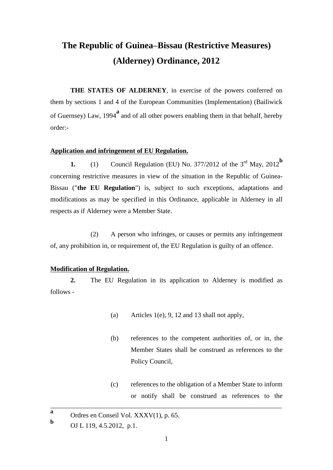# **The Republic of Guinea–Bissau (Restrictive Measures) (Alderney) Ordinance, 2012**

**THE STATES OF ALDERNEY**, in exercise of the powers conferred on them by sections 1 and 4 of the European Communities (Implementation) (Bailiwick of Guernsey) Law, 1994**<sup>a</sup>** and of all other powers enabling them in that behalf, hereby order:-

# **Application and infringement of EU Regulation.**

**1.** (1) Council Regulation (EU) No. 377/2012 of the  $3<sup>rd</sup>$  May, 2012<sup>b</sup> concerning restrictive measures in view of the situation in the Republic of Guinea-Bissau ("**the EU Regulation**") is, subject to such exceptions, adaptations and modifications as may be specified in this Ordinance, applicable in Alderney in all respects as if Alderney were a Member State.

(2) A person who infringes, or causes or permits any infringement of, any prohibition in, or requirement of, the EU Regulation is guilty of an offence.

#### **Modification of Regulation.**

**2.** The EU Regulation in its application to Alderney is modified as follows -

- (a) Articles 1(e), 9, 12 and 13 shall not apply,
- (b) references to the competent authorities of, or in, the Member States shall be construed as references to the Policy Council,
- (c) references to the obligation of a Member State to inform or notify shall be construed as references to the

**a** Ordres en Conseil Vol. XXXV(1), p. 65. **b**

OJ L 119, 4.5.2012, p.1.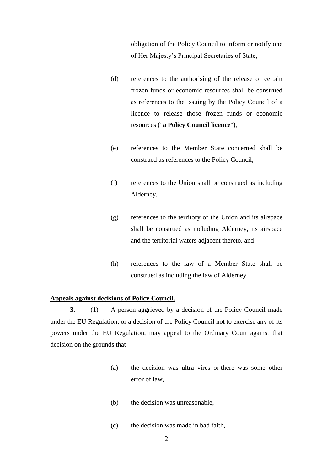obligation of the Policy Council to inform or notify one of Her Majesty's Principal Secretaries of State,

- (d) references to the authorising of the release of certain frozen funds or economic resources shall be construed as references to the issuing by the Policy Council of a licence to release those frozen funds or economic resources ("**a Policy Council licence**"),
- (e) references to the Member State concerned shall be construed as references to the Policy Council,
- (f) references to the Union shall be construed as including Alderney,
- (g) references to the territory of the Union and its airspace shall be construed as including Alderney, its airspace and the territorial waters adjacent thereto, and
- (h) references to the law of a Member State shall be construed as including the law of Alderney.

## **Appeals against decisions of Policy Council.**

**3.** (1) A person aggrieved by a decision of the Policy Council made under the EU Regulation, or a decision of the Policy Council not to exercise any of its powers under the EU Regulation, may appeal to the Ordinary Court against that decision on the grounds that -

- (a) the decision was ultra vires or there was some other error of law,
- (b) the decision was unreasonable,
- (c) the decision was made in bad faith,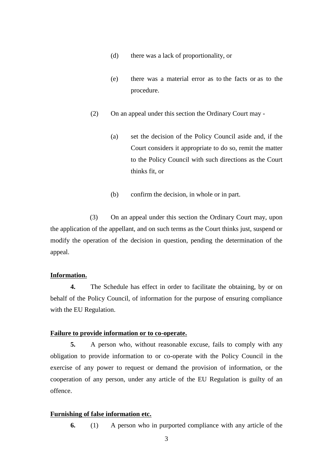- (d) there was a lack of proportionality, or
- (e) there was a material error as to the facts or as to the procedure.
- (2) On an appeal under this section the Ordinary Court may
	- (a) set the decision of the Policy Council aside and, if the Court considers it appropriate to do so, remit the matter to the Policy Council with such directions as the Court thinks fit, or
	- (b) confirm the decision, in whole or in part.

(3) On an appeal under this section the Ordinary Court may, upon the application of the appellant, and on such terms as the Court thinks just, suspend or modify the operation of the decision in question, pending the determination of the appeal.

### **Information.**

**4.** The Schedule has effect in order to facilitate the obtaining, by or on behalf of the Policy Council, of information for the purpose of ensuring compliance with the EU Regulation.

## **Failure to provide information or to co-operate.**

**5.** A person who, without reasonable excuse, fails to comply with any obligation to provide information to or co-operate with the Policy Council in the exercise of any power to request or demand the provision of information, or the cooperation of any person, under any article of the EU Regulation is guilty of an offence.

## **Furnishing of false information etc.**

**6.** (1) A person who in purported compliance with any article of the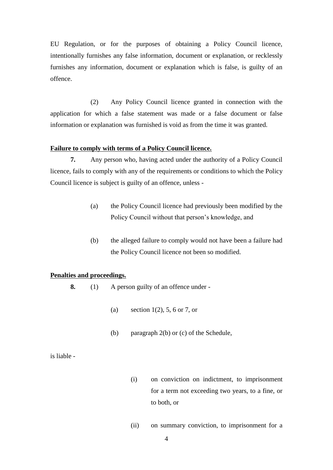EU Regulation, or for the purposes of obtaining a Policy Council licence, intentionally furnishes any false information, document or explanation, or recklessly furnishes any information, document or explanation which is false, is guilty of an offence.

(2) Any Policy Council licence granted in connection with the application for which a false statement was made or a false document or false information or explanation was furnished is void as from the time it was granted.

# **Failure to comply with terms of a Policy Council licence.**

**7.** Any person who, having acted under the authority of a Policy Council licence, fails to comply with any of the requirements or conditions to which the Policy Council licence is subject is guilty of an offence, unless -

- (a) the Policy Council licence had previously been modified by the Policy Council without that person's knowledge, and
- (b) the alleged failure to comply would not have been a failure had the Policy Council licence not been so modified.

#### **Penalties and proceedings.**

- **8.** (1) A person guilty of an offence under
	- (a) section  $1(2)$ , 5, 6 or 7, or
	- (b) paragraph 2(b) or (c) of the Schedule,

is liable -

- (i) on conviction on indictment, to imprisonment for a term not exceeding two years, to a fine, or to both, or
- (ii) on summary conviction, to imprisonment for a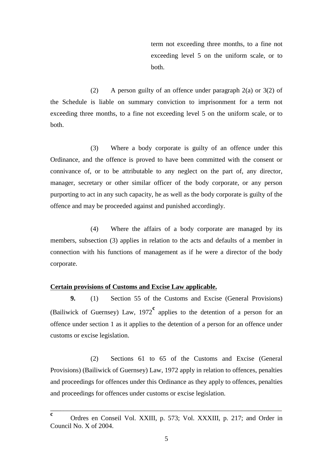term not exceeding three months, to a fine not exceeding level 5 on the uniform scale, or to both.

(2) A person guilty of an offence under paragraph 2(a) or 3(2) of the Schedule is liable on summary conviction to imprisonment for a term not exceeding three months, to a fine not exceeding level 5 on the uniform scale, or to both.

(3) Where a body corporate is guilty of an offence under this Ordinance, and the offence is proved to have been committed with the consent or connivance of, or to be attributable to any neglect on the part of, any director, manager, secretary or other similar officer of the body corporate, or any person purporting to act in any such capacity, he as well as the body corporate is guilty of the offence and may be proceeded against and punished accordingly.

(4) Where the affairs of a body corporate are managed by its members, subsection (3) applies in relation to the acts and defaults of a member in connection with his functions of management as if he were a director of the body corporate.

## **Certain provisions of Customs and Excise Law applicable.**

**9.** (1) Section 55 of the Customs and Excise (General Provisions) (Bailiwick of Guernsey) Law, 1972**<sup>c</sup>** applies to the detention of a person for an offence under section 1 as it applies to the detention of a person for an offence under customs or excise legislation.

(2) Sections 61 to 65 of the Customs and Excise (General Provisions) (Bailiwick of Guernsey) Law, 1972 apply in relation to offences, penalties and proceedings for offences under this Ordinance as they apply to offences, penalties and proceedings for offences under customs or excise legislation.

**c** Ordres en Conseil Vol. XXIII, p. 573; Vol. XXXIII, p. 217; and Order in Council No. X of 2004.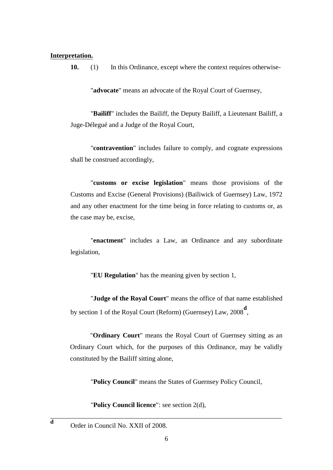## **Interpretation.**

**10.** (1) In this Ordinance, except where the context requires otherwise-

"**advocate**" means an advocate of the Royal Court of Guernsey,

"**Bailiff**" includes the Bailiff, the Deputy Bailiff, a Lieutenant Bailiff, a Juge-Délegué and a Judge of the Royal Court,

"**contravention**" includes failure to comply, and cognate expressions shall be construed accordingly,

"**customs or excise legislation**" means those provisions of the Customs and Excise (General Provisions) (Bailiwick of Guernsey) Law, 1972 and any other enactment for the time being in force relating to customs or, as the case may be, excise,

"**enactment**" includes a Law, an Ordinance and any subordinate legislation,

"**EU Regulation**" has the meaning given by section 1,

"**Judge of the Royal Court**" means the office of that name established by section 1 of the Royal Court (Reform) (Guernsey) Law, 2008**<sup>d</sup>** ,

"**Ordinary Court**" means the Royal Court of Guernsey sitting as an Ordinary Court which, for the purposes of this Ordinance, may be validly constituted by the Bailiff sitting alone,

"**Policy Council**" means the States of Guernsey Policy Council,

"**Policy Council licence**": see section 2(d),

Order in Council No. XXII of 2008.

**d**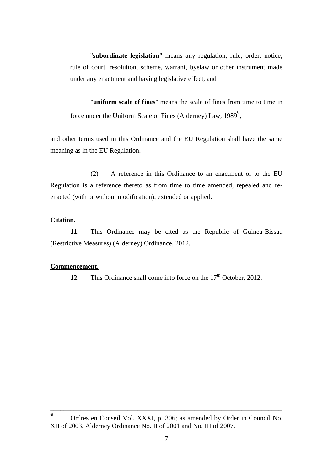"**subordinate legislation**" means any regulation, rule, order, notice, rule of court, resolution, scheme, warrant, byelaw or other instrument made under any enactment and having legislative effect, and

"**uniform scale of fines**" means the scale of fines from time to time in force under the Uniform Scale of Fines (Alderney) Law, 1989<sup>e</sup>,

and other terms used in this Ordinance and the EU Regulation shall have the same meaning as in the EU Regulation.

(2) A reference in this Ordinance to an enactment or to the EU Regulation is a reference thereto as from time to time amended, repealed and reenacted (with or without modification), extended or applied.

#### **Citation.**

**11.** This Ordinance may be cited as the Republic of Guinea-Bissau (Restrictive Measures) (Alderney) Ordinance, 2012.

#### **Commencement.**

**12.** This Ordinance shall come into force on the 17<sup>th</sup> October, 2012.

**e** Ordres en Conseil Vol. XXXI, p. 306; as amended by Order in Council No. XII of 2003, Alderney Ordinance No. II of 2001 and No. III of 2007.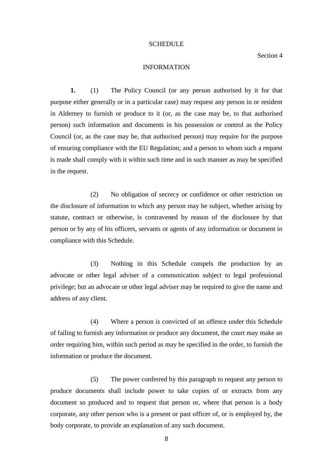#### SCHEDULE

Section 4

## INFORMATION

**1.** (1) The Policy Council (or any person authorised by it for that purpose either generally or in a particular case) may request any person in or resident in Alderney to furnish or produce to it (or, as the case may be, to that authorised person) such information and documents in his possession or control as the Policy Council (or, as the case may be, that authorised person) may require for the purpose of ensuring compliance with the EU Regulation; and a person to whom such a request is made shall comply with it within such time and in such manner as may be specified in the request.

(2) No obligation of secrecy or confidence or other restriction on the disclosure of information to which any person may be subject, whether arising by statute, contract or otherwise, is contravened by reason of the disclosure by that person or by any of his officers, servants or agents of any information or document in compliance with this Schedule.

(3) Nothing in this Schedule compels the production by an advocate or other legal adviser of a communication subject to legal professional privilege; but an advocate or other legal adviser may be required to give the name and address of any client.

(4) Where a person is convicted of an offence under this Schedule of failing to furnish any information or produce any document, the court may make an order requiring him, within such period as may be specified in the order, to furnish the information or produce the document.

(5) The power conferred by this paragraph to request any person to produce documents shall include power to take copies of or extracts from any document so produced and to request that person or, where that person is a body corporate, any other person who is a present or past officer of, or is employed by, the body corporate, to provide an explanation of any such document.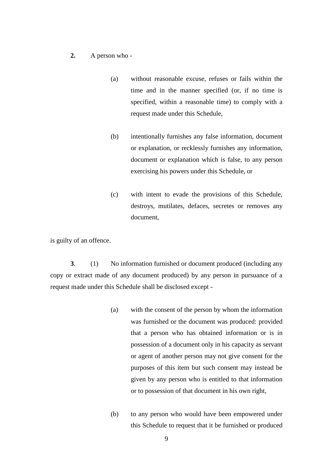## **2.** A person who -

- (a) without reasonable excuse, refuses or fails within the time and in the manner specified (or, if no time is specified, within a reasonable time) to comply with a request made under this Schedule,
- (b) intentionally furnishes any false information, document or explanation, or recklessly furnishes any information, document or explanation which is false, to any person exercising his powers under this Schedule, or
- (c) with intent to evade the provisions of this Schedule, destroys, mutilates, defaces, secretes or removes any document,

is guilty of an offence.

**3**. (1) No information furnished or document produced (including any copy or extract made of any document produced) by any person in pursuance of a request made under this Schedule shall be disclosed except -

- (a) with the consent of the person by whom the information was furnished or the document was produced: provided that a person who has obtained information or is in possession of a document only in his capacity as servant or agent of another person may not give consent for the purposes of this item but such consent may instead be given by any person who is entitled to that information or to possession of that document in his own right,
- (b) to any person who would have been empowered under this Schedule to request that it be furnished or produced